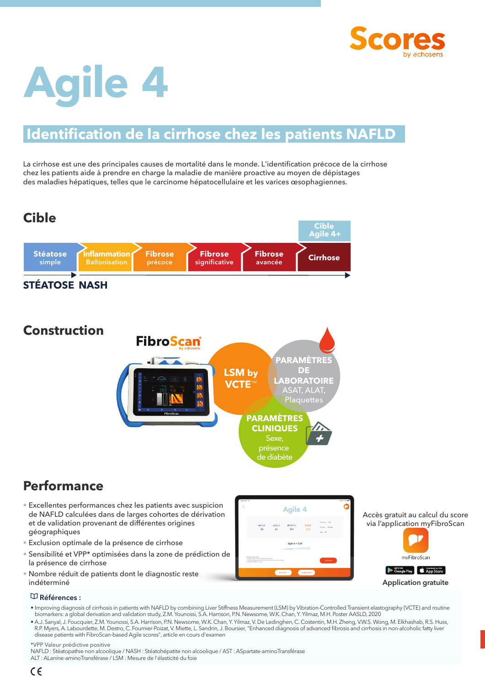

# **Agile 4**

## **Identification de la cirrhose chez les patients NAFLD**

La cirrhose est une des principales causes de mortalité dans le monde. L'identification précoce de la cirrhose chez les patients aide à prendre en charge la maladie de manière proactive au moyen de dépistages des maladies hépatiques, telles que le carcinome hépatocellulaire et les varices œsophagiennes.



### **Performance**

- Excellentes performances chez les patients avec suspicion de NAFLD calculées dans de larges cohortes de dérivation et de validation provenant de différentes origines géographiques
- Exclusion optimale de la présence de cirrhose
- Sensibilité et VPP\* optimisées dans la zone de prédiction de la présence de cirrhose
- Nombre réduit de patients dont le diagnostic reste indéterminé



Accès gratuit au calcul du score via l'application myFibroScan



#### **Références :**

- Improving diagnosis of cirrhosis in patients with NAFLD by combining Liver Stiffness Measurement (LSM) by Vibration-Controlled Transient elastography (VCTE) and routine biomarkers: a global derivation and validation study, Z.M. Younossi, S.A. Harrison, P.N. Newsome, W.K. Chan, Y. Yilmaz, M.H. Poster AASLD, 2020
- A.J. Sanyal, J. Foucquier, Z.M. Younossi, S.A. Harrison, P.N. Newsome, W.K. Chan, Y. Yilmaz, V. De Ledinghen, C. Costentin, M.H. Zheng, V.W.S. Wong, M. Elkhashab, R.S. Huss, R.P. Myers, A. Labourdette, M. Destro, C. Fournier-Poizat, V. Miette, L. Sandrin, J. Boursier, "Enhanced diagnosis of advanced fibrosis and cirrhosis in non-alcoholic fatty liver disease patients with FibroScan-based Agile scores", article en cours d'examen

\*VPP Valeur prédictive positive

NAFLD : Stéatopathie non alcoolique / NASH : Stéatohépatite non alcoolique / AST : ASpartate-aminoTransférase ALT : ALanine-aminoTransférase / LSM : Mesure de l'élasticité du foie